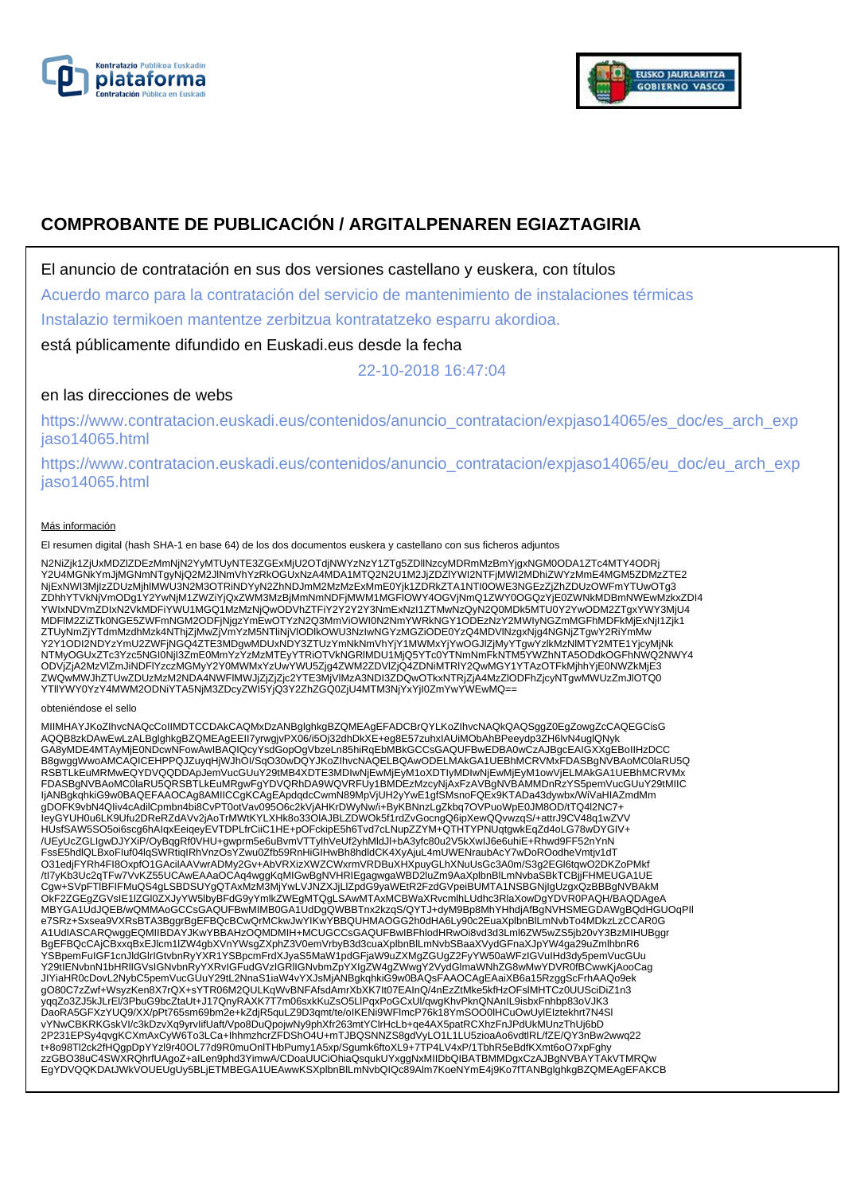



# **COMPROBANTE DE PUBLICACIÓN / ARGITALPENAREN EGIAZTAGIRIA**

El anuncio de contratación en sus dos versiones castellano y euskera, con títulos

Acuerdo marco para la contratación del servicio de mantenimiento de instalaciones térmicas

Instalazio termikoen mantentze zerbitzua kontratatzeko esparru akordioa.

está públicamente difundido en Euskadi.eus desde la fecha

22-10-2018 16:47:04

# en las direcciones de webs

https://www.contratacion.euskadi.eus/contenidos/anuncio\_contratacion/expjaso14065/es\_doc/es\_arch\_exp jaso14065.html

https://www.contratacion.euskadi.eus/contenidos/anuncio\_contratacion/expjaso14065/eu\_doc/eu\_arch\_exp jaso14065.html

### Más información

El resumen digital (hash SHA-1 en base 64) de los dos documentos euskera y castellano con sus ficheros adjuntos

N2NiZjk1ZjUxMDZlZDEzMmNjN2YyMTUyNTE3ZGExMjU2OTdjNWYzNzY1ZTg5ZDllNzcyMDRmMzBmYjgxNGM0ODA1ZTc4MTY4ODRj<br>Y2U4MGNkYmJjMGNmNTgyNjQ2M2JlNmVhYzRkOGUxNzA4MDA1MTQ2N2U1M2JjZDZlYWI2NTFjMWI2MDhiZWYzMmE4MGM5ZDMzZTE2 NjExNWI3MjIzZDUzMjhlMWU3N2M3OTRiNDYyN2ZhNDJmM2MzMzExMmE0Yjk1ZDRkZTA1NTI0OWE3NGEzZjZhZDUzOWFmYTUwOTg3 ZDhhYTVkNjVmODg1Y2YwNjM1ZWZiYjQxZWM3MzBjMmNmNDFjMWM1MGFlOWY4OGVjNmQ1ZWY0OGQzYjE0ZWNkMDBmNWEwMzkxZDI4 YWIxNDVmZDIxN2VkMDFiYWU1MGQ1MzMzNjQwODVhZTFiY2Y2Y2Y3NmExNzI1ZTMwNzQyN2Q0MDk5MTU0Y2YwODM2ZTgxYWY3MjU4 MDFlM2ZiZTk0NGE5ZWFmNGM2ODFjNjgzYmEwOTYzN2Q3MmViOWI0N2NmYWRkNGY1ODEzNzY2MWIyNGZmMGFhMDFkMjExNjI1Zjk1 ZTUyNmZjYTdmMzdhMzk4NThjZjMwZjVmYzM5NTliNjVlODlkOWU3NzIwNGYzMGZiODE0YzQ4MDVlNzgxNjg4NGNjZTgwY2RiYmMw Y2Y1ODI2NDYzYmU2ZWFjNGQ4ZTE3MDgwMDUxNDY3ZTUzYmNkNmVhYjY1MWMxYjYwOGJlZjMyYTgwYzlkMzNlMTY2MTE1YjcyMjNk NTMyOGUxZTc3Yzc5NGI0NjI3ZmE0MmYzYzMzMTEyYTRiOTVkNGRIMDU1MjQ5YTc0YTNmNmFkNTM5YWZhNTA5ODdkOGFhNWQ2NWY4<br>ODVjZjA2MzVlZmJiNDFIYzczMGMyY2Y0MWMxYzUwYWU5Zjg4ZWM2ZDVIZjQ4ZDNiMTRIY2QwMGY1YTAzOTFkMjhhYjE0NWZkMjE3<br>ZWQwMWJhZTUwZDUzMzM2

#### obteniéndose el sello

MIIMHAYJKoZIhvcNAQcCoIIMDTCCDAkCAQMxDzANBglghkgBZQMEAgEFADCBrQYLKoZIhvcNAQkQAQSggZ0EgZowgZcCAQEGCisG AQQB8zkDAwEwLzALBglghkgBZQMEAgEEII7yrwgjvPX06/i5Oj32dhDkXE+eg8E57zuhxIAUiMObAhBPeeydp3ZH6lvN4uglQNyk<br>GA8yMDE4MTAyMjE0NDcwNFowAwIBAQIQcyYsdGopOgVbzeLn85hiRqEbMBkGCCsGAQUFBwEDBA0wCzAJBgcEAIGXXgEBoIIHzDCC B8gwggWwoAMCAQICEHPPQJZuyqHjWJhOI/SqO30wDQYJKoZIhvcNAQELBQAwODELMAkGA1UEBhMCRVMxFDASBgNVBAoMC0laRU5Q RSBTLkEuMRMwEQYDVQQDDApJemVucGUuY29tMB4XDTE3MDIwNjEwMjEyM1oXDTIyMDIwNjEwMjEyM1owVjELMAkGA1UEBhMCRVMx FDASBgNVBAoMC0laRU5QRSBTLkEuMRgwFgYDVQRhDA9WQVRFUy1BMDEzMzcyNjAxFzAVBgNVBAMMDnRzYS5pemVucGUuY29tMIIC IjANBgkqhkiG9w0BAQEFAAOCAg8AMIICCgKCAgEApdqdcCwmN89MpVjUH2yYwE1gfSMsnoFQEx9KTADa43dywbx/WiVaHIAZmdMm gDOFK9vbN4QIiv4cAdilCpmbn4bi8CvPT0otVav095O6c2kVjAHKrDWyNw/i+ByKBNnzLgZkbq7OVPuoWpE0JM8OD/tTQ4l2NC7+ IeyGYUH0u6LK9Ufu2DReRZdAVv2jAoTrMWtKYLXHk8o33OlAJBLZDWOk5f1rdZvGocngQ6ipXewQQvwzqS/+attrJ9CV48q1wZVV HUsfSAW5SO5oi6scg6hAIqxEeiqeyEVTDPLfrCiiC1HE+pOFckipE5h6Tvd7cLNupZZYM+QTHTYPNUqtgwkEqZd4oLG78wDYGIV+<br>/UEyUcZGLIgwDJYXiP/OyBqgRf0VHU+gwprm5e6uBvmVTTylhVeUf2yhMldJl+bA3yfc80u2V5kXwIJ6e6uhiE+Rhwd9FF52nYnN FssE5hdlQLBxoFIuf04lqSWRtiqIRhVnzOsYZwu0Zfb59RnHiGIHwBh8hdldCK4XyAjuL4mUWENraubAcY7wDoROodheVmtjv1dT O31edjFYRh4FI8OxpfO1GAcilAAVwrADMy2Gv+AbVRXizXWZCWxrmVRDBuXHXpuyGLhXNuUsGc3A0m/S3g2EGl6tqwO2DKZoPMkf /tl7yKb3Uc2qTFw7VvKZ55UCAwEAAaOCAq4wggKqMIGwBgNVHRIEgagwgaWBD2luZm9AaXplbnBlLmNvbaSBkTCBjjFHMEUGA1UE<br>Cgw+SVpFTlBFIFMuQS4gLSBDSUYgQTAxMzM3MjYwLVJNZXJjLlZpdG9yaWEtR2FzdGVpeiBUMTA1NSBGNjIgUzgxQzBBBgNVBAkM OkF2ZGEgZGVsIE1IZGI0ZXJyYW5lbyBFdG9yYmlkZWEgMTQgLSAwMTAxMCBWaXRvcmlhLUdhc3RlaXowDgYDVR0PAQH/BAQDAgeA<br>MBYGA1UdJQEB/wQMMAoGCCsGAQUFBwMIMB0GA1UdDgQWBBTnx2kzqSQYTJ+dyM9Bp8MhYHhdjAfBgNVHSMEGDAWgBQdHGUOqPII<br>e7SRz+Sxsea9VXRsBTA3B BgEFBQcCAjCBxxqBxEJlcm1lZW4gbXVnYWsgZXphZ3V0emVrbyB3d3cuaXplbnBlLmNvbSBaaXVydGFnaXJpYW4ga29uZmlhbnR6 YSBpemFuIGF1cnJldGlrIGtvbnRyYXR1YSBpcmFrdXJyaS5MaW1pdGFjaW9uZXMgZGUgZ2FyYW50aWFzIGVuIHd3dy5pemVucGUu Y29tIENvbnN1bHRlIGVsIGNvbnRyYXRvIGFudGVzIGRlIGNvbmZpYXIgZW4gZWwgY2VydGlmaWNhZG8wMwYDVR0fBCwwKjAooCag JIYiaHR0cDovL2NybC5pemVucGUuY29tL2NnaS1iaW4vYXJsMjANBgkqhkiG9w0BAQsFAAOCAgEAaiXB6a15RzggScFrhAAQo9ek gO80C7zZwf+WsyzKen8X7rQX+sYTR06M2QULKqWvBNFAfsdAmrXbXK7lt07EAInQ/4nEzZtMke5kfHzOFslMHTCz0UUSciDiZ1n3<br>yqqZo3ZJ5kJLrEl/3PbuG9bcZtaUt+J17QnyRAXK7T7m06sxkKuZsO5LlPqxPoGCxUl/qwgKhvPknQNAnIL9isbxFnhbp83oVJK3 DaoRA5GFXzYUQ9/XX/pPt765sm69bm2e+kZdjR5quLZ9D3qmt/te/oIKENi9WFlmcP76k18YmSOO0lHCuOwUylEIztekhrt7N4Sl vYNwCBKRKGskVI/c3kDzvXq9yrvIifUaft/Vpo8DuQpojwNy9phXfr263mtYClrHcLb+qe4AX5patRCXhzFnJPdUkMUnzThUj6bD 2P231EPSy4qvgKCXmAxCyW6To3LCa+IhhmzhcrZFDShO4U+mTJBQSNNZS8gdVyLO1L1LU5zioaAo6vdtlRL/fZE/QY3nBw2wwq22 t+8o98Tl2ck2fHQgpDpYYzl9r40OL77d9R0muOnlTHbPumy1A5xp/Sgumk6ftoXL9+7TP4LV4xP/1TbhR5eBdfKXmt6oO7xpFghy zzGBO38uC4SWXRQhrfUAgoZ+aILen9phd3YimwA/CDoaUUCiOhiaQsqukUYxggNxMIIDbQIBATBMMDgxCzAJBgNVBAYTAkVTMRQw EgYDVQQKDAtJWkVOUEUgUy5BLjETMBEGA1UEAwwKSXplbnBlLmNvbQIQc89Alm7KoeNYmE4j9Ko7fTANBglghkgBZQMEAgEFAKCB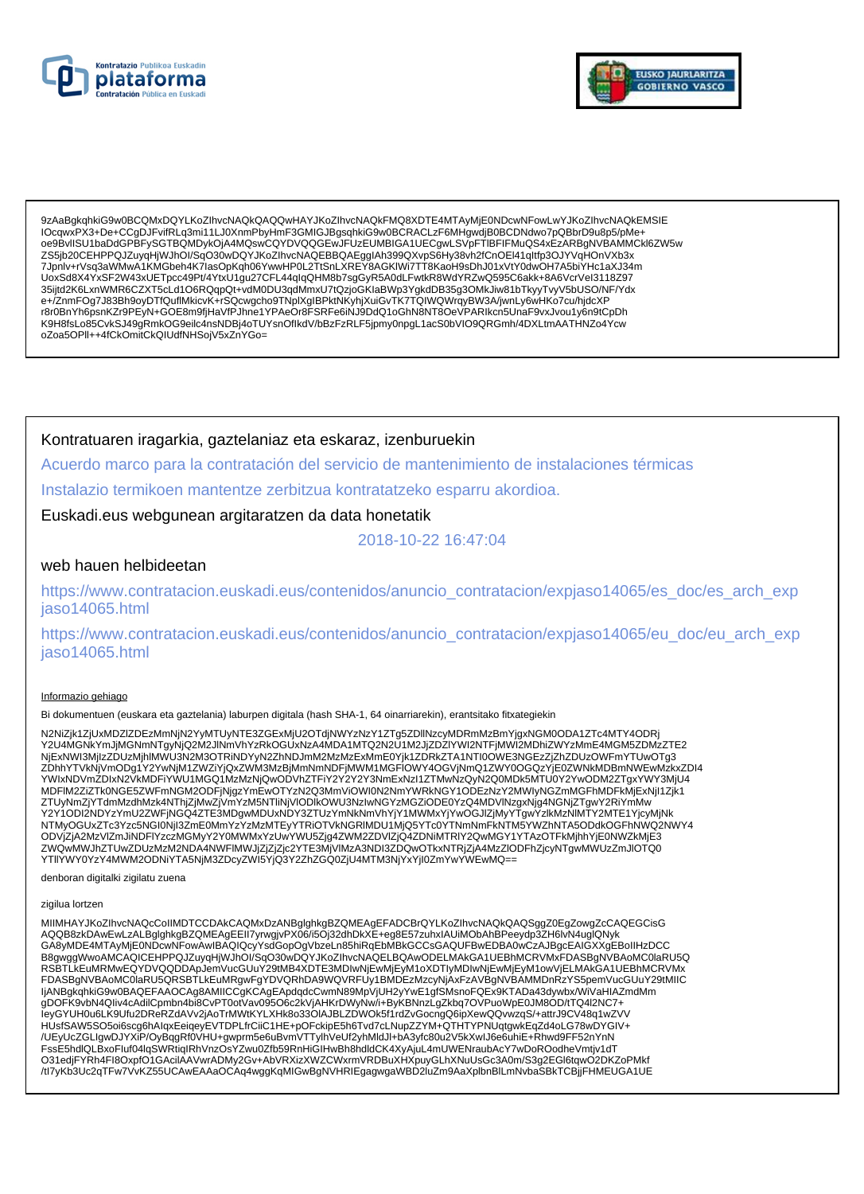



9zAaBqkqhkiG9w0BCQMxDQYLKoZlhvcNAQkQAQQwHAYJKoZlhvcNAQkFMQ8XDTE4MTAvMiE0NDcwNFowLwYJKoZlhvcNAQkEMSIE IOcqwxPX3+De+CCgDJFvifRLq3mi11LJ0XnmPbyHmF3GMIGJBgsqhkiG9w0BCRACLzF6MHgwdjB0BCDNdwo7pQBbrD9u8p5/pMe+ oe9BvlISU1baDdGPBFySGTBQMDykOjA4MQswCQYDVQQGEwJFUzEUMBIGA1UECgwLSVpFTIBFIFMuQS4xEzARBgNVBAMMCkl6ZW5w ZS5jb20CEHPPQJZuyqHjWJhOl/SqO30wDQYJKoZlhvcNAQEBBQAEgglAh399QXvpS6Hy38vh2fCnOEl41qltfp3OJYVqHOnVXb3x 7Jpnlv+rVsq3aWMwA1KMGbeh4K7lasOpKqh06YwwHP0L2TtSnLXREY8AGKIWi7TT8KaoH9sDhJ01xVtY0dwOH7A5biYHc1aXJ34m UoxSd8X4YxSF2W43xUETpcc49Pt/4YtxU1gu27CFL44qlqQHM8b7sgGyR5A0dLFwtkR8WdYRZwQ595C6akk+8A6VcrVel3118Z97 35ijtd2K6LxnWMR6CZXT5cLd1O6RQqpQt+vdM0DU3qdMmxU7tQzjoGKlaBWp3YgkdDB35g3OMkJiw81bTkyyTvyV5bUSO/NF/Ydx<br>e+/ZnmFOg7J83Bh9oyDTfQuflMkicvK+rSQcwgcho9TNplXglBPktNKyhjXuiGvTK7TQlWQWrqyBW3A/jwnLy6wHKo7cu/hjdcXP r8r0BnYh6psnKZr9PEyN+GOE8m9fjHaVfPJhne1YPAeOr8FSRFe6iNJ9DdQ1oGhN8NT8OeVPARIkcn5UnaF9vxJvou1y6n9tCpDh K9H8fsLo85CvkSJ49gRmkOG9eilc4nsNDBj4oTUYsnOflkdV/bBzFzRLF5jpmy0npgL1acS0bVIO9QRGmh/4DXLtmAATHNZo4Ycw oZoa5OPII++4fCkOmitCkQIUdfNHSojV5xZnYGo=

Kontratuaren iragarkia, gaztelaniaz eta eskaraz, izenburuekin

Acuerdo marco para la contratación del servicio de mantenimiento de instalaciones térmicas

Instalazio termikoen mantentze zerbitzua kontratatzeko esparru akordioa.

Euskadi.eus webgunean argitaratzen da data honetatik

2018-10-22 16:47:04

## web hauen helbideetan

https://www.contratacion.euskadi.eus/contenidos/anuncio\_contratacion/expjaso14065/es\_doc/es\_arch\_exp iaso14065.html

https://www.contratacion.euskadi.eus/contenidos/anuncio\_contratacion/expjaso14065/eu\_doc/eu\_arch\_exp jaso14065.html

### Informazio gehiago

Bi dokumentuen (euskara eta gaztelania) laburpen digitala (hash SHA-1, 64 oinarriarekin), erantsitako fitxategiekin

N2NiZjk1ZjUxMDZIZDEzMmNjN2YyMTUyNTE3ZGExMjU2OTdjNWYzNzY1ZTg5ZDllNzcyMDRmMzBmYjgxNGM0ODA1ZTc4MTY4ODRj<br>Y2U4MGNkYmJjMGNmNTgyNjQ2M2JlNmVhYzRkOGUxNzA4MDA1MTQ2N2U1M2JjZDZIYWI2NTFjMWI2MDhiZWYzMmE4MGM5ZDMzZTE2 NjExNWI3MjIzZDUzMjhlMWU3N2M3OTRiNDYyN2ZhNDJmM2MzMzExMmE0Yjk1ZDRkZTA1NTI0OWE3NGEzZjZhZDUzOWFmYTUwOTg3 ZDhhYTVkNjVmODg1Y2YwNjM1ZWZiYjQxZWM3MzBjMmNmNDFjMWM1MGFIOWY4OGVjNmQ1ZWY0OGQzYjE0ZWNkMDBmNWEwMzkxZDI4 YWIxNDVmZDIxN2VkMDFiYWU1MGQ1MzMzNjQwODVhZTFiY2Y2Y2Y3NmExNzI1ZTMwNzQyN2Q0MDk5MTU0Y2YwODM2ZTgxYWY3MjU4 MDFIM2ZiZTk0NGE5ZWFmNGM2ODFjNjgzYmEwOTYzN2Q3MmViOWI0N2NmYWRkNGY1ODEzNzY2MWIyNGZmMGFhMDFkMjExNjI1Zjk1 ODVIZIA2MzVIZmJiNDFIYzczMGMVY2Y0MWMxYzUwYWU5Ziq4ZWM2ZDVIZiQ4ZDNiMTRIY2QwMGY1YTAzOTFkMihhYiE0NWZkMiE3 OU VEHALUM UNIVERSITYI ATTA TURE UNIVERSITYI VALTALUM UNIVERSITYI TAIMU UNIVERSITYI TAASTI NIVIII TUOMAANILES<br>TUVQWMWJhZTUwZDUzMzM2NDA4NWFIMWJjZjZjc2YTE3MjVIMzA3NDI3ZDQwOTkxNTRjZjA4MzZIODFhZjcyNTgwMWUzZmJIOTQ0<br>YTIIYWY0YzY4

denboran digitalki zigilatu zuena

#### zigilua lortzen

MIIMHAYJKoZIhvcNAQcCoIIMDTCCDAkCAQMxDzANBglghkgBZQMEAgEFADCBrQYLKoZIhvcNAQkQAQSggZ0EgZowgZcCAQEGCisG AQQB8zkDAwEwLzALBglghkgBZQMEAgEEII7yrwgjvPX06/i5Oj32dhDkXE+eg8E57zuhxIAUiMObAhBPeeydp3ZH6lvN4uglQNyk GA8yMDE4MTAyMjE0NDcwNFowAwIBAQIQcyYsdGopOgVbzeLn85hiRqEbMBkGCCsGAQUFBwEDBA0wCzAJBgcEAIGXXgEBoIIHzDCC ERGWIND MARCHER MAN WARD AND MANUSIUM OF THE RESEARCH OF THE RESEARCH OF THE BINOCAL MANUSIUM CONTROL AND BOUNDARUS AND RESEARCH AND RESEARCH AND RESEARCH AND RESEARCH AND RESEARCH AND RESEARCH AND RESEARCH AND RESEARCH AN FDASBgNVBAoMC0laRU5QRSBTLkEuMRgwFgYDVQRhDA9WQVRFUy1BMDEzMzcyNjAxFzAVBgNVBAMMDnRzYS5pemVucGUuY29tMIIC ljANBgkqhkiG9w0BAQEFAAOCAg8AMIICCgKCAgEApdqdcCwmN89MpVjUH2yYwE1gfSMsnoFQEx9KTADa43dywbx/WiVaHIAZmdMm gDOFK9vbN4Qliv4cAdilCpmbn4bi8CvPT0otVav095O6c2kVjAHKrDWyNw/i+ByKBNnzLgZkbq7OVPuoWpE0JM8OD/tTQ4l2NC7+ IeyGYUH0u6LK9Ufu2DReRZdAVv2jAoTrMWtKYLXHk8o33OIAJBLZDWOk5f1rdZvGocngQ6ipXewQQvwzqS/+attrJ9CV48q1wZVV HUsfSAW5SO5oi6scg6hAlqxEeiqeyEVTDPLfrCiiC1HE+pOFckipE5h6Tvd7cLNupZZYM+QTHTYPNUqtgwkEqZd4oLG78wDYGIV+ /UEyUcZGLIgwDJYXiP/OyBqgRf0VHU+gwprm5e6uBvmVTTylhVeUf2yhMldJl+bA3yfc80u2V5kXwlJ6e6uhiE+Rhwd9FF52nYnN FssE5hdlQLBxoFluf04lqSWRtiqIRhVnzOsYZwu0Zfb59RnHiGIHwBh8hdldCK4XyAjuL4mUWENraubAcY7wDoROodheVmtjv1dT<br>O31edjFYRh4Fl8OxpfO1GAcilAAVwrADMy2Gv+AbVRXizXWZCWxrmVRDBuXHXpuyGLhXNuUsGc3A0m/S3g2EGl6tqwO2DKZoPMkf /tl7yKb3Uc2qTFw7VvKZ55UCAwEAAaOCAq4wggKqMIGwBgNVHRIEgagwgaWBD2luZm9AaXplbnBlLmNvbaSBkTCBjjFHMEUGA1UE